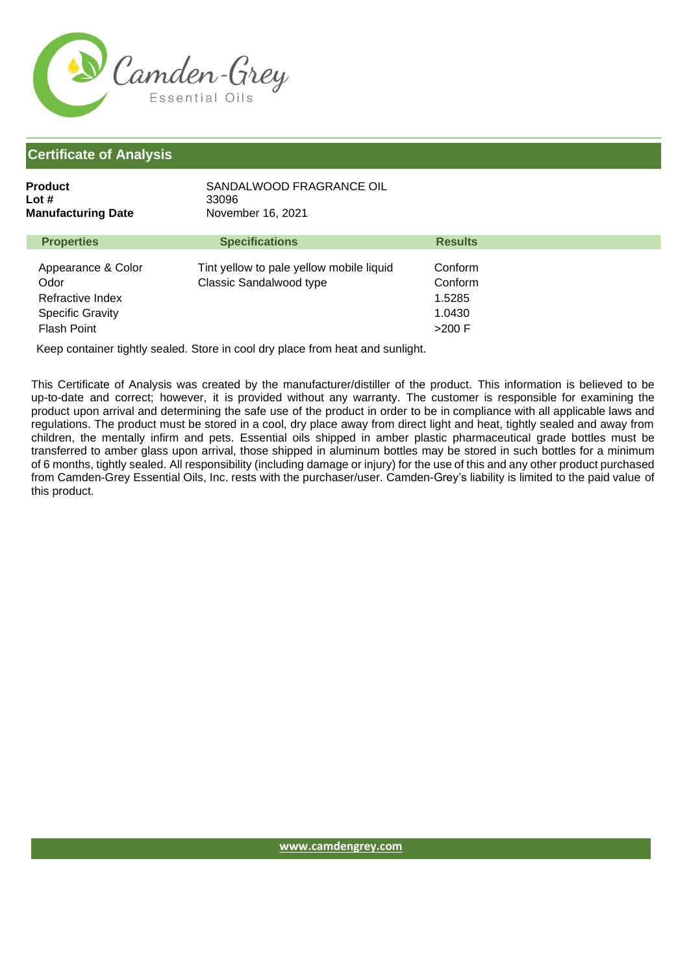

| Product<br>Lot #<br><b>Manufacturing Date</b>                                                   | SANDALWOOD FRAGRANCE OIL<br>33096<br>November 16, 2021                     |                                                    |
|-------------------------------------------------------------------------------------------------|----------------------------------------------------------------------------|----------------------------------------------------|
| <b>Properties</b>                                                                               | <b>Specifications</b>                                                      | <b>Results</b>                                     |
| Appearance & Color<br>Odor<br>Refractive Index<br><b>Specific Gravity</b><br><b>Flash Point</b> | Tint yellow to pale yellow mobile liquid<br><b>Classic Sandalwood type</b> | Conform<br>Conform<br>1.5285<br>1.0430<br>$>200$ F |

Keep container tightly sealed. Store in cool dry place from heat and sunlight.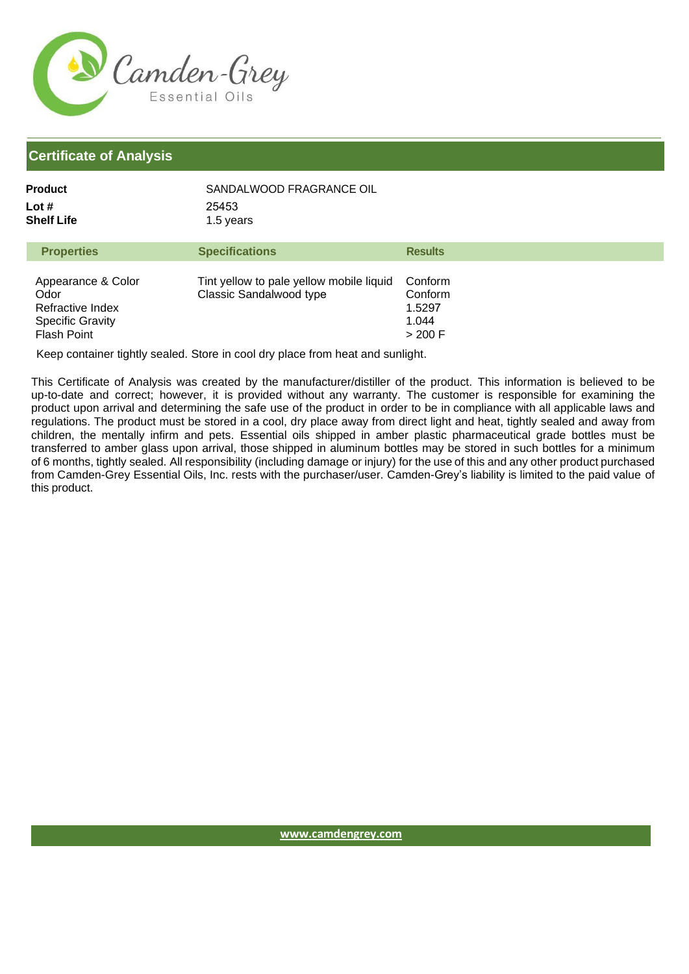

| Product             | SANDALWOOD FRAGRANCE OIL |
|---------------------|--------------------------|
| Lot #<br>Shelf Life | 25453<br>1.5 years       |
|                     |                          |

| <b>Properties</b>                                                                               | <b>Specifications</b>                                                      | <b>Results</b>                                  |
|-------------------------------------------------------------------------------------------------|----------------------------------------------------------------------------|-------------------------------------------------|
| Appearance & Color<br>Odor<br>Refractive Index<br><b>Specific Gravity</b><br><b>Flash Point</b> | Tint yellow to pale yellow mobile liquid<br><b>Classic Sandalwood type</b> | Conform<br>Conform<br>1.5297<br>1.044<br>>200 F |

Keep container tightly sealed. Store in cool dry place from heat and sunlight.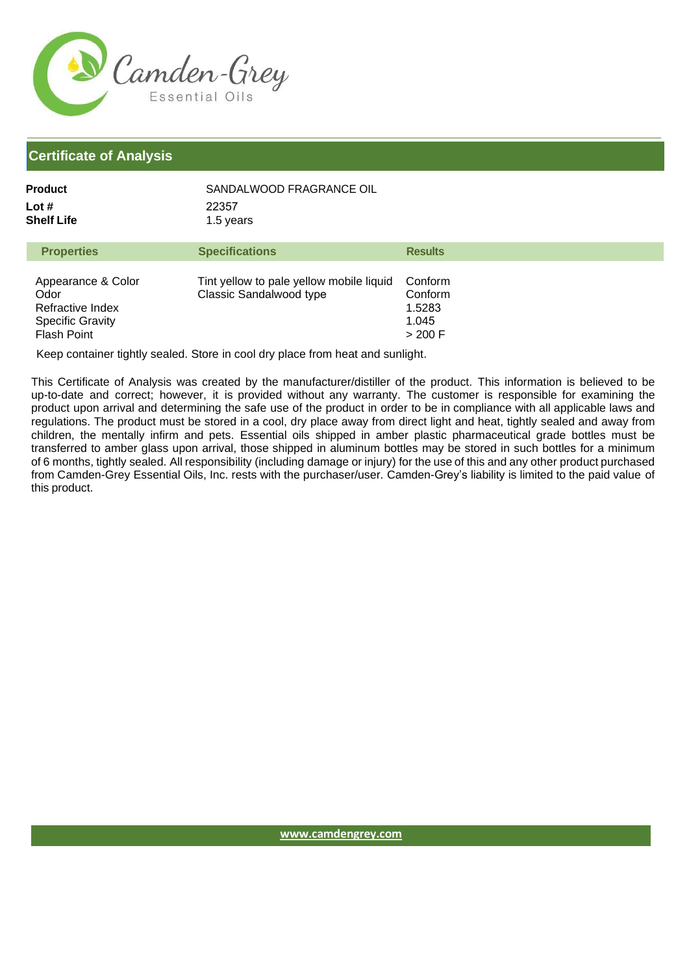

| Product             | SANDALWOOD FRAGRANCE OIL |
|---------------------|--------------------------|
| Lot #<br>Shelf Life | 22357<br>1.5 years       |
|                     |                          |

| <b>Properties</b>                                                                               | <b>Specifications</b>                                                      | <b>Results</b>                                     |
|-------------------------------------------------------------------------------------------------|----------------------------------------------------------------------------|----------------------------------------------------|
| Appearance & Color<br>Odor<br>Refractive Index<br><b>Specific Gravity</b><br><b>Flash Point</b> | Tint yellow to pale yellow mobile liquid<br><b>Classic Sandalwood type</b> | Conform<br>Conform<br>1.5283<br>1.045<br>$>$ 200 F |

Keep container tightly sealed. Store in cool dry place from heat and sunlight.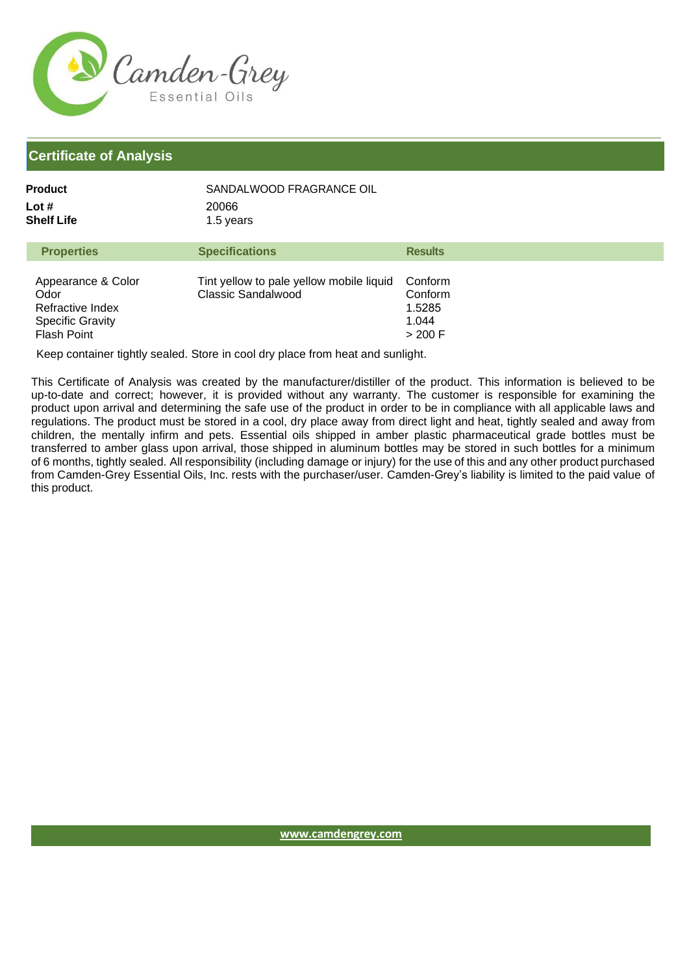

| Product             | SANDALWOOD FRAGRANCE OIL |
|---------------------|--------------------------|
| Lot #<br>Shelf Life | 20066<br>1.5 years       |
|                     |                          |

| <b>Properties</b>                                                                               | <b>Specifications</b>                                                 | <b>Results</b>                                     |
|-------------------------------------------------------------------------------------------------|-----------------------------------------------------------------------|----------------------------------------------------|
| Appearance & Color<br>Odor<br>Refractive Index<br><b>Specific Gravity</b><br><b>Flash Point</b> | Tint yellow to pale yellow mobile liquid<br><b>Classic Sandalwood</b> | Conform<br>Conform<br>1.5285<br>1.044<br>$>$ 200 F |

Keep container tightly sealed. Store in cool dry place from heat and sunlight.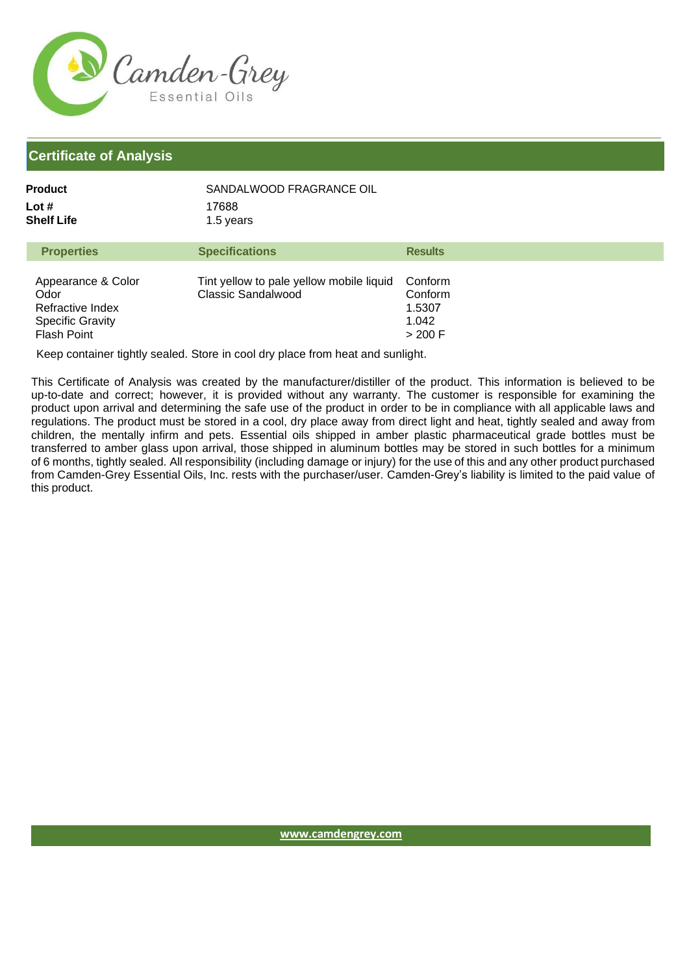

| Product             | SANDALWOOD FRAGRANCE OIL |
|---------------------|--------------------------|
| Lot #<br>Shelf Life | 17688<br>1.5 years       |
|                     |                          |

| <b>Properties</b>                                                                               | <b>Specifications</b>                                                 | <b>Results</b>                                     |
|-------------------------------------------------------------------------------------------------|-----------------------------------------------------------------------|----------------------------------------------------|
| Appearance & Color<br>Odor<br>Refractive Index<br><b>Specific Gravity</b><br><b>Flash Point</b> | Tint yellow to pale yellow mobile liquid<br><b>Classic Sandalwood</b> | Conform<br>Conform<br>1.5307<br>1.042<br>$>$ 200 F |

Keep container tightly sealed. Store in cool dry place from heat and sunlight.